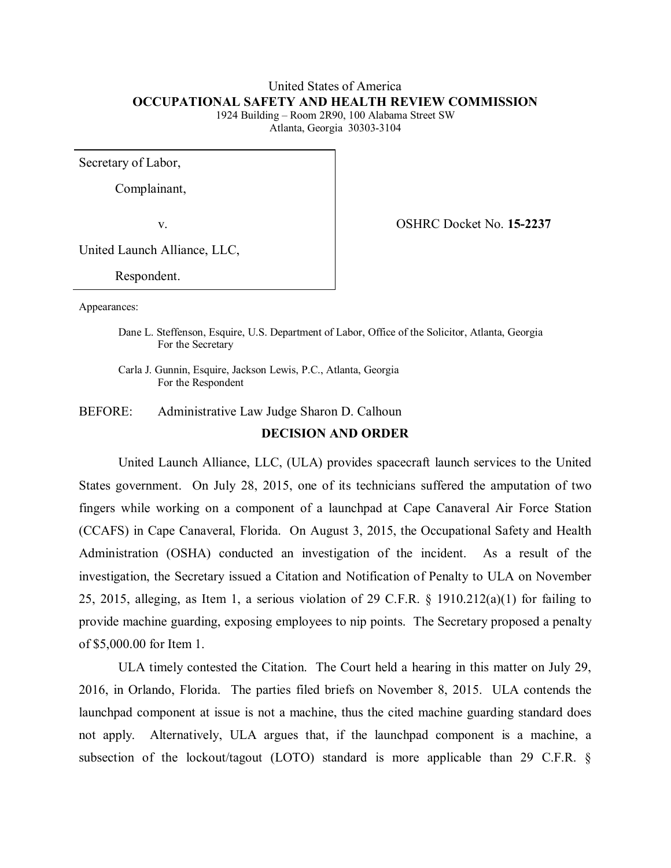# United States of America **OCCUPATIONAL SAFETY AND HEALTH REVIEW COMMISSION**

1924 Building – Room 2R90, 100 Alabama Street SW Atlanta, Georgia 30303-3104

Secretary of Labor,

Complainant,

v. OSHRC Docket No. **15-2237**

United Launch Alliance, LLC,

Respondent.

Appearances:

Dane L. Steffenson, Esquire, U.S. Department of Labor, Office of the Solicitor, Atlanta, Georgia For the Secretary

Carla J. Gunnin, Esquire, Jackson Lewis, P.C., Atlanta, Georgia For the Respondent

BEFORE: Administrative Law Judge Sharon D. Calhoun

### **DECISION AND ORDER**

United Launch Alliance, LLC, (ULA) provides spacecraft launch services to the United States government. On July 28, 2015, one of its technicians suffered the amputation of two fingers while working on a component of a launchpad at Cape Canaveral Air Force Station (CCAFS) in Cape Canaveral, Florida. On August 3, 2015, the Occupational Safety and Health Administration (OSHA) conducted an investigation of the incident. As a result of the investigation, the Secretary issued a Citation and Notification of Penalty to ULA on November 25, 2015, alleging, as Item 1, a serious violation of 29 C.F.R.  $\S$  1910.212(a)(1) for failing to provide machine guarding, exposing employees to nip points. The Secretary proposed a penalty of \$5,000.00 for Item 1.

ULA timely contested the Citation. The Court held a hearing in this matter on July 29, 2016, in Orlando, Florida. The parties filed briefs on November 8, 2015. ULA contends the launchpad component at issue is not a machine, thus the cited machine guarding standard does not apply. Alternatively, ULA argues that, if the launchpad component is a machine, a subsection of the lockout/tagout (LOTO) standard is more applicable than 29 C.F.R. §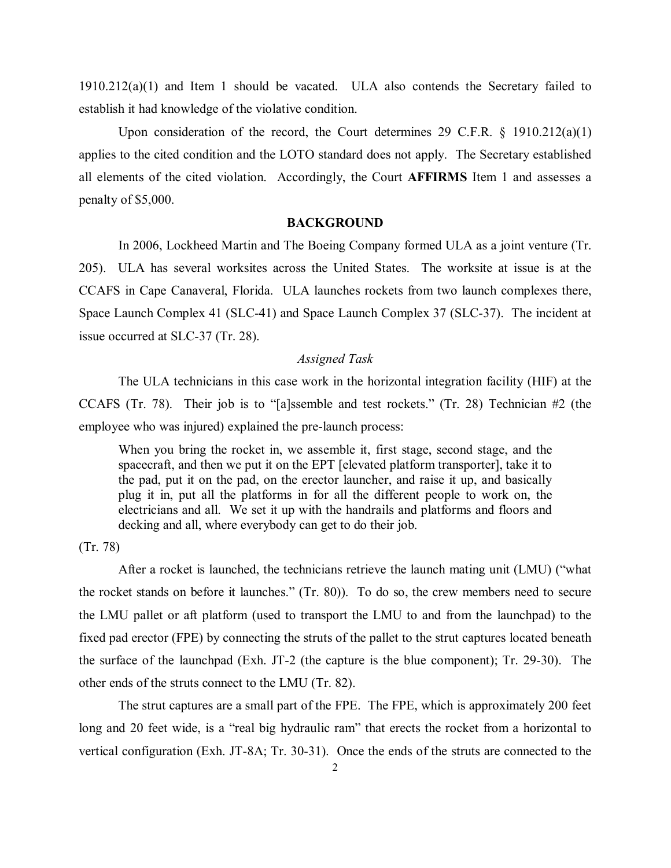1910.212(a)(1) and Item 1 should be vacated. ULA also contends the Secretary failed to establish it had knowledge of the violative condition.

Upon consideration of the record, the Court determines 29 C.F.R. § 1910.212(a)(1) applies to the cited condition and the LOTO standard does not apply. The Secretary established all elements of the cited violation. Accordingly, the Court **AFFIRMS** Item 1 and assesses a penalty of \$5,000.

#### **BACKGROUND**

In 2006, Lockheed Martin and The Boeing Company formed ULA as a joint venture (Tr. 205). ULA has several worksites across the United States. The worksite at issue is at the CCAFS in Cape Canaveral, Florida. ULA launches rockets from two launch complexes there, Space Launch Complex 41 (SLC-41) and Space Launch Complex 37 (SLC-37). The incident at issue occurred at SLC-37 (Tr. 28).

### *Assigned Task*

The ULA technicians in this case work in the horizontal integration facility (HIF) at the CCAFS (Tr. 78). Their job is to "[a]ssemble and test rockets." (Tr. 28) Technician #2 (the employee who was injured) explained the pre-launch process:

When you bring the rocket in, we assemble it, first stage, second stage, and the spacecraft, and then we put it on the EPT [elevated platform transporter], take it to the pad, put it on the pad, on the erector launcher, and raise it up, and basically plug it in, put all the platforms in for all the different people to work on, the electricians and all. We set it up with the handrails and platforms and floors and decking and all, where everybody can get to do their job.

(Tr. 78)

After a rocket is launched, the technicians retrieve the launch mating unit (LMU) ("what the rocket stands on before it launches." (Tr. 80)). To do so, the crew members need to secure the LMU pallet or aft platform (used to transport the LMU to and from the launchpad) to the fixed pad erector (FPE) by connecting the struts of the pallet to the strut captures located beneath the surface of the launchpad (Exh. JT-2 (the capture is the blue component); Tr. 29-30). The other ends of the struts connect to the LMU (Tr. 82).

The strut captures are a small part of the FPE. The FPE, which is approximately 200 feet long and 20 feet wide, is a "real big hydraulic ram" that erects the rocket from a horizontal to vertical configuration (Exh. JT-8A; Tr. 30-31). Once the ends of the struts are connected to the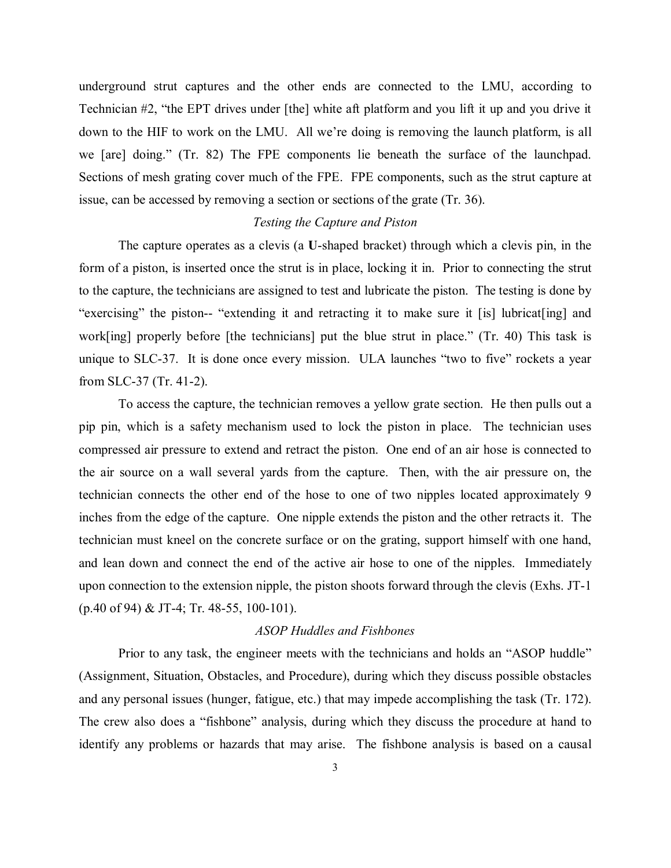underground strut captures and the other ends are connected to the LMU, according to Technician #2, "the EPT drives under [the] white aft platform and you lift it up and you drive it down to the HIF to work on the LMU. All we're doing is removing the launch platform, is all we [are] doing." (Tr. 82) The FPE components lie beneath the surface of the launchpad. Sections of mesh grating cover much of the FPE. FPE components, such as the strut capture at issue, can be accessed by removing a section or sections of the grate (Tr. 36).

### *Testing the Capture and Piston*

The capture operates as a clevis (a **U**-shaped bracket) through which a clevis pin, in the form of a piston, is inserted once the strut is in place, locking it in. Prior to connecting the strut to the capture, the technicians are assigned to test and lubricate the piston. The testing is done by "exercising" the piston-- "extending it and retracting it to make sure it [is] lubricat[ing] and work[ing] properly before [the technicians] put the blue strut in place." (Tr. 40) This task is unique to SLC-37. It is done once every mission. ULA launches "two to five" rockets a year from SLC-37 (Tr. 41-2).

To access the capture, the technician removes a yellow grate section. He then pulls out a pip pin, which is a safety mechanism used to lock the piston in place. The technician uses compressed air pressure to extend and retract the piston. One end of an air hose is connected to the air source on a wall several yards from the capture. Then, with the air pressure on, the technician connects the other end of the hose to one of two nipples located approximately 9 inches from the edge of the capture. One nipple extends the piston and the other retracts it. The technician must kneel on the concrete surface or on the grating, support himself with one hand, and lean down and connect the end of the active air hose to one of the nipples. Immediately upon connection to the extension nipple, the piston shoots forward through the clevis (Exhs. JT-1 (p.40 of 94) & JT-4; Tr. 48-55, 100-101).

### *ASOP Huddles and Fishbones*

Prior to any task, the engineer meets with the technicians and holds an "ASOP huddle" (Assignment, Situation, Obstacles, and Procedure), during which they discuss possible obstacles and any personal issues (hunger, fatigue, etc.) that may impede accomplishing the task (Tr. 172). The crew also does a "fishbone" analysis, during which they discuss the procedure at hand to identify any problems or hazards that may arise. The fishbone analysis is based on a causal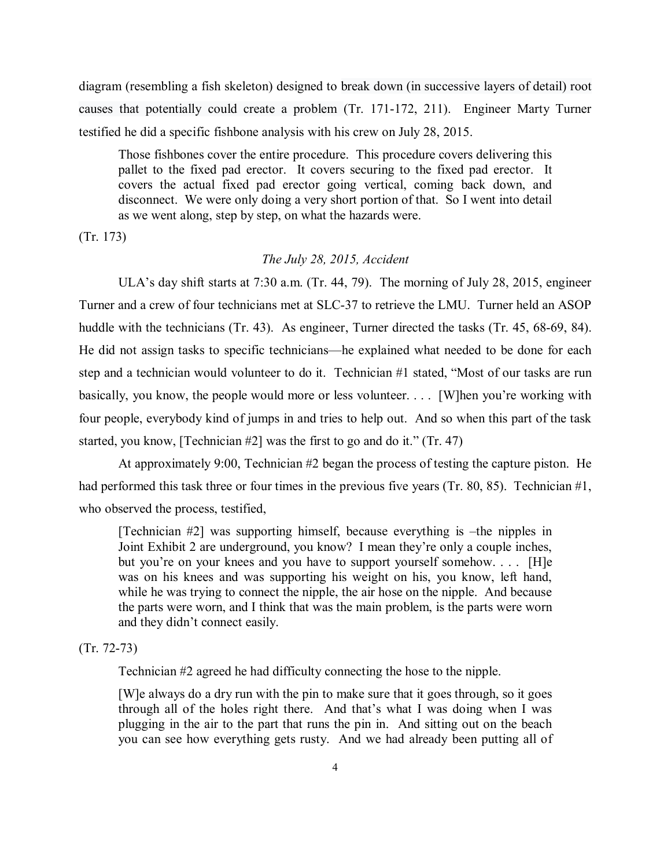diagram (resembling a fish skeleton) designed to break down (in successive layers of detail) root causes that potentially could create a problem (Tr. 171-172, 211). Engineer Marty Turner testified he did a specific fishbone analysis with his crew on July 28, 2015.

Those fishbones cover the entire procedure. This procedure covers delivering this pallet to the fixed pad erector. It covers securing to the fixed pad erector. It covers the actual fixed pad erector going vertical, coming back down, and disconnect. We were only doing a very short portion of that. So I went into detail as we went along, step by step, on what the hazards were.

(Tr. 173)

### *The July 28, 2015, Accident*

ULA's day shift starts at 7:30 a.m. (Tr. 44, 79). The morning of July 28, 2015, engineer Turner and a crew of four technicians met at SLC-37 to retrieve the LMU. Turner held an ASOP huddle with the technicians (Tr. 43). As engineer, Turner directed the tasks (Tr. 45, 68-69, 84). He did not assign tasks to specific technicians—he explained what needed to be done for each step and a technician would volunteer to do it. Technician #1 stated, "Most of our tasks are run basically, you know, the people would more or less volunteer. . . . [W]hen you're working with four people, everybody kind of jumps in and tries to help out. And so when this part of the task started, you know, [Technician  $#2$ ] was the first to go and do it." (Tr. 47)

At approximately 9:00, Technician #2 began the process of testing the capture piston. He had performed this task three or four times in the previous five years (Tr. 80, 85). Technician #1, who observed the process, testified,

[Technician #2] was supporting himself, because everything is –the nipples in Joint Exhibit 2 are underground, you know? I mean they're only a couple inches, but you're on your knees and you have to support yourself somehow.... [H]e was on his knees and was supporting his weight on his, you know, left hand, while he was trying to connect the nipple, the air hose on the nipple. And because the parts were worn, and I think that was the main problem, is the parts were worn and they didn't connect easily.

### (Tr. 72-73)

Technician #2 agreed he had difficulty connecting the hose to the nipple.

[W]e always do a dry run with the pin to make sure that it goes through, so it goes through all of the holes right there. And that's what I was doing when I was plugging in the air to the part that runs the pin in. And sitting out on the beach you can see how everything gets rusty. And we had already been putting all of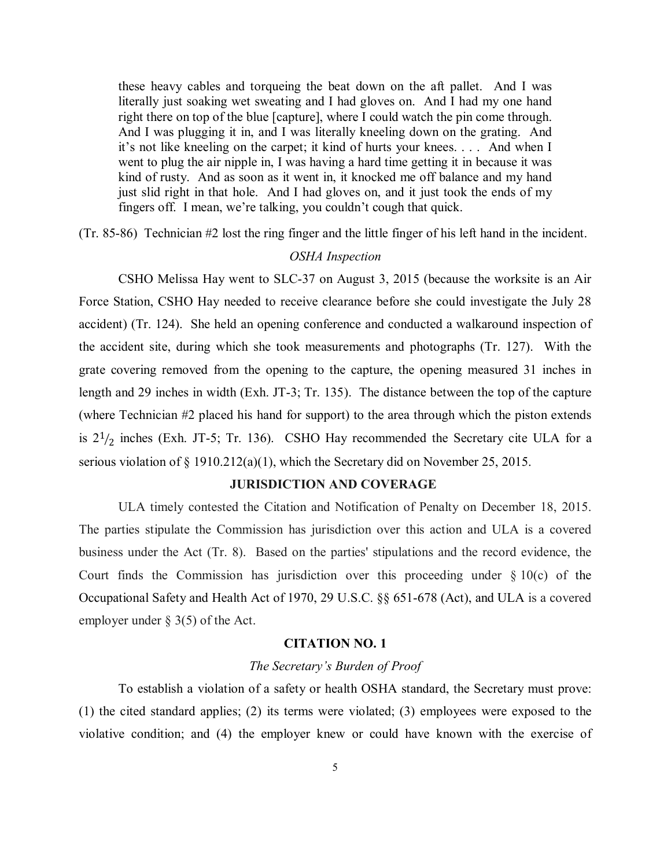these heavy cables and torqueing the beat down on the aft pallet. And I was literally just soaking wet sweating and I had gloves on. And I had my one hand right there on top of the blue [capture], where I could watch the pin come through. And I was plugging it in, and I was literally kneeling down on the grating. And it's not like kneeling on the carpet; it kind of hurts your knees. . . . And when I went to plug the air nipple in, I was having a hard time getting it in because it was kind of rusty. And as soon as it went in, it knocked me off balance and my hand just slid right in that hole. And I had gloves on, and it just took the ends of my fingers off. I mean, we're talking, you couldn't cough that quick.

(Tr. 85-86) Technician #2 lost the ring finger and the little finger of his left hand in the incident.

### *OSHA Inspection*

CSHO Melissa Hay went to SLC-37 on August 3, 2015 (because the worksite is an Air Force Station, CSHO Hay needed to receive clearance before she could investigate the July 28 accident) (Tr. 124). She held an opening conference and conducted a walkaround inspection of the accident site, during which she took measurements and photographs (Tr. 127). With the grate covering removed from the opening to the capture, the opening measured 31 inches in length and 29 inches in width (Exh. JT-3; Tr. 135). The distance between the top of the capture (where Technician #2 placed his hand for support) to the area through which the piston extends is  $2^{1/2}$  inches (Exh. JT-5; Tr. 136). CSHO Hay recommended the Secretary cite ULA for a serious violation of  $\S$  1910.212(a)(1), which the Secretary did on November 25, 2015.

### **JURISDICTION AND COVERAGE**

ULA timely contested the Citation and Notification of Penalty on December 18, 2015. The parties stipulate the Commission has jurisdiction over this action and ULA is a covered business under the Act (Tr. 8). Based on the parties' stipulations and the record evidence, the Court finds the Commission has jurisdiction over this proceeding under  $\S 10(c)$  of the Occupational Safety and Health Act of 1970, 29 U.S.C. §§ 651-678 (Act), and ULA is a covered employer under § 3(5) of the Act.

### **CITATION NO. 1**

#### *The Secretary's Burden of Proof*

To establish a violation of a safety or health OSHA standard, the Secretary must prove: (1) the cited standard applies; (2) its terms were violated; (3) employees were exposed to the violative condition; and (4) the employer knew or could have known with the exercise of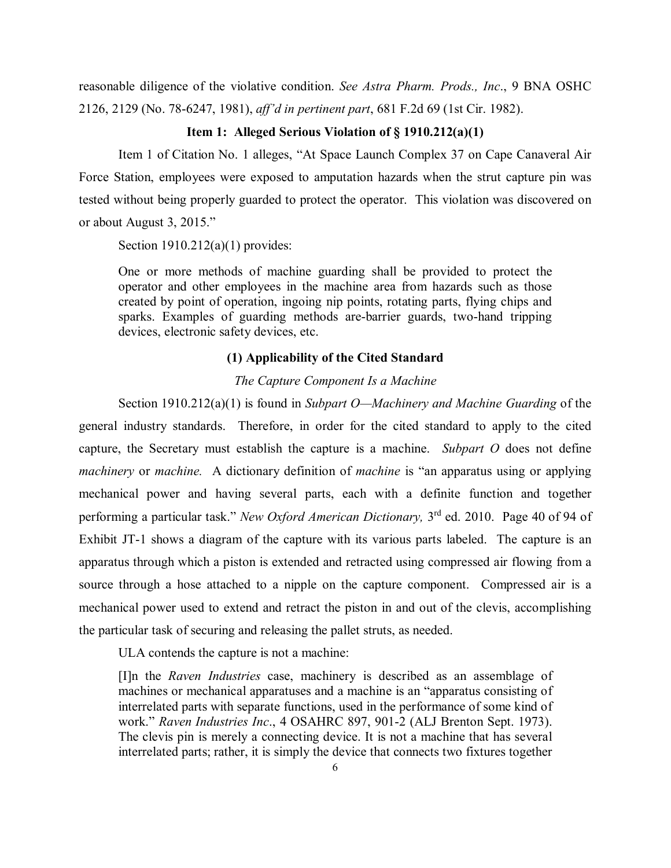reasonable diligence of the violative condition. *See Astra Pharm. Prods., Inc*., 9 BNA OSHC 2126, 2129 (No. 78-6247, 1981), *aff'd in pertinent part*, 681 F.2d 69 (1st Cir. 1982).

# **Item 1: Alleged Serious Violation of § 1910.212(a)(1)**

Item 1 of Citation No. 1 alleges, "At Space Launch Complex 37 on Cape Canaveral Air Force Station, employees were exposed to amputation hazards when the strut capture pin was tested without being properly guarded to protect the operator. This violation was discovered on or about August 3, 2015."

Section 1910.212(a)(1) provides:

One or more methods of machine guarding shall be provided to protect the operator and other employees in the machine area from hazards such as those created by point of operation, ingoing nip points, rotating parts, flying chips and sparks. Examples of guarding methods are-barrier guards, two-hand tripping devices, electronic safety devices, etc.

### **(1) Applicability of the Cited Standard**

## *The Capture Component Is a Machine*

Section 1910.212(a)(1) is found in *Subpart O—Machinery and Machine Guarding* of the general industry standards. Therefore, in order for the cited standard to apply to the cited capture, the Secretary must establish the capture is a machine. *Subpart O* does not define *machinery* or *machine.* A dictionary definition of *machine* is "an apparatus using or applying mechanical power and having several parts, each with a definite function and together performing a particular task." *New Oxford American Dictionary,* 3rd ed. 2010. Page 40 of 94 of Exhibit JT-1 shows a diagram of the capture with its various parts labeled. The capture is an apparatus through which a piston is extended and retracted using compressed air flowing from a source through a hose attached to a nipple on the capture component. Compressed air is a mechanical power used to extend and retract the piston in and out of the clevis, accomplishing the particular task of securing and releasing the pallet struts, as needed.

ULA contends the capture is not a machine:

[I]n the *Raven Industries* case, machinery is described as an assemblage of machines or mechanical apparatuses and a machine is an "apparatus consisting of interrelated parts with separate functions, used in the performance of some kind of work." *Raven Industries Inc*., 4 OSAHRC 897, 901-2 (ALJ Brenton Sept. 1973). The clevis pin is merely a connecting device. It is not a machine that has several interrelated parts; rather, it is simply the device that connects two fixtures together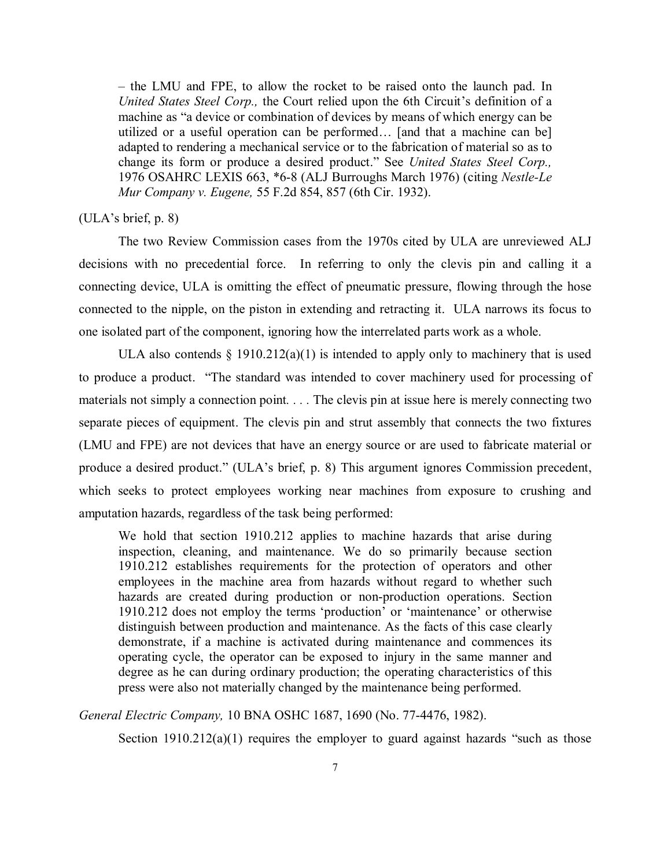– the LMU and FPE, to allow the rocket to be raised onto the launch pad. In *United States Steel Corp.,* the Court relied upon the 6th Circuit's definition of a machine as "a device or combination of devices by means of which energy can be utilized or a useful operation can be performed… [and that a machine can be] adapted to rendering a mechanical service or to the fabrication of material so as to change its form or produce a desired product." See *United States Steel Corp.,* 1976 OSAHRC LEXIS 663, \*6-8 (ALJ Burroughs March 1976) (citing *Nestle-Le Mur Company v. Eugene,* 55 F.2d 854, 857 (6th Cir. 1932).

### (ULA's brief, p. 8)

The two Review Commission cases from the 1970s cited by ULA are unreviewed ALJ decisions with no precedential force. In referring to only the clevis pin and calling it a connecting device, ULA is omitting the effect of pneumatic pressure, flowing through the hose connected to the nipple, on the piston in extending and retracting it. ULA narrows its focus to one isolated part of the component, ignoring how the interrelated parts work as a whole.

ULA also contends  $\S$  1910.212(a)(1) is intended to apply only to machinery that is used to produce a product. "The standard was intended to cover machinery used for processing of materials not simply a connection point*. . . .* The clevis pin at issue here is merely connecting two separate pieces of equipment. The clevis pin and strut assembly that connects the two fixtures (LMU and FPE) are not devices that have an energy source or are used to fabricate material or produce a desired product." (ULA's brief, p. 8) This argument ignores Commission precedent, which seeks to protect employees working near machines from exposure to crushing and amputation hazards, regardless of the task being performed:

We hold that section 1910.212 applies to machine hazards that arise during inspection, cleaning, and maintenance. We do so primarily because section 1910.212 establishes requirements for the protection of operators and other employees in the machine area from hazards without regard to whether such hazards are created during production or non-production operations. Section 1910.212 does not employ the terms 'production' or 'maintenance' or otherwise distinguish between production and maintenance. As the facts of this case clearly demonstrate, if a machine is activated during maintenance and commences its operating cycle, the operator can be exposed to injury in the same manner and degree as he can during ordinary production; the operating characteristics of this press were also not materially changed by the maintenance being performed.

*General Electric Company,* 10 BNA OSHC 1687, 1690 (No. 77-4476, 1982).

Section  $1910.212(a)(1)$  requires the employer to guard against hazards "such as those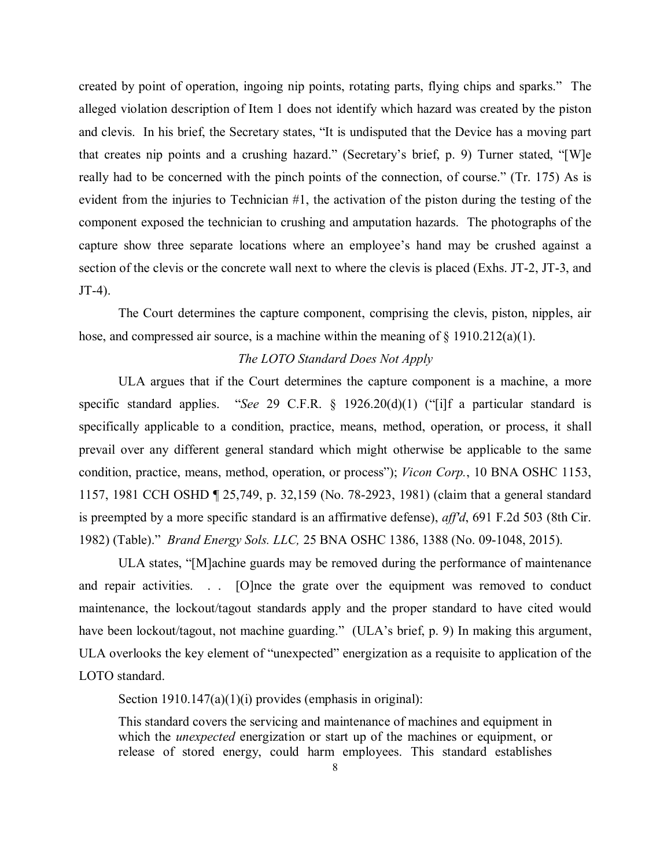created by point of operation, ingoing nip points, rotating parts, flying chips and sparks." The alleged violation description of Item 1 does not identify which hazard was created by the piston and clevis. In his brief, the Secretary states, "It is undisputed that the Device has a moving part that creates nip points and a crushing hazard." (Secretary's brief, p. 9) Turner stated, "[W]e really had to be concerned with the pinch points of the connection, of course." (Tr. 175) As is evident from the injuries to Technician  $#1$ , the activation of the piston during the testing of the component exposed the technician to crushing and amputation hazards. The photographs of the capture show three separate locations where an employee's hand may be crushed against a section of the clevis or the concrete wall next to where the clevis is placed (Exhs. JT-2, JT-3, and JT-4).

The Court determines the capture component, comprising the clevis, piston, nipples, air hose, and compressed air source, is a machine within the meaning of § 1910.212(a)(1).

### *The LOTO Standard Does Not Apply*

ULA argues that if the Court determines the capture component is a machine, a more specific standard applies. "*See* 29 C.F.R. § 1926.20(d)(1) ("[i]f a particular standard is specifically applicable to a condition, practice, means, method, operation, or process, it shall prevail over any different general standard which might otherwise be applicable to the same condition, practice, means, method, operation, or process"); *Vicon Corp.*, 10 BNA OSHC 1153, 1157, 1981 CCH OSHD ¶ 25,749, p. 32,159 (No. 78-2923, 1981) (claim that a general standard is preempted by a more specific standard is an affirmative defense), *aff'd*, 691 F.2d 503 (8th Cir. 1982) (Table)." *Brand Energy Sols. LLC,* 25 BNA OSHC 1386, 1388 (No. 09-1048, 2015).

ULA states, "[M]achine guards may be removed during the performance of maintenance and repair activities. . . [O]nce the grate over the equipment was removed to conduct maintenance, the lockout/tagout standards apply and the proper standard to have cited would have been lockout/tagout, not machine guarding." (ULA's brief, p. 9) In making this argument, ULA overlooks the key element of "unexpected" energization as a requisite to application of the LOTO standard.

Section 1910.147(a)(1)(i) provides (emphasis in original):

This standard covers the servicing and maintenance of machines and equipment in which the *unexpected* energization or start up of the machines or equipment, or release of stored energy, could harm employees. This standard establishes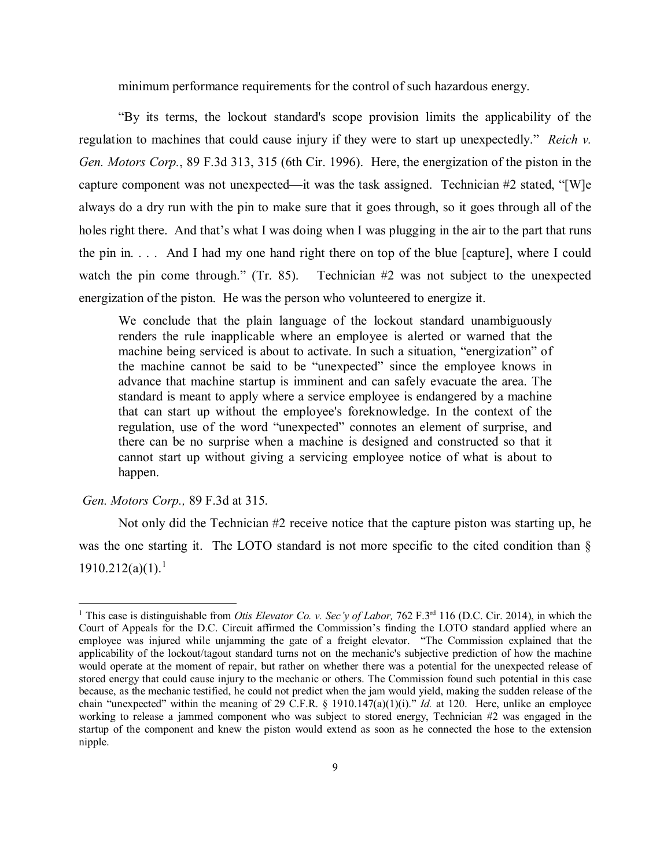minimum performance requirements for the control of such hazardous energy.

 "By its terms, the lockout standard's scope provision limits the applicability of the regulation to machines that could cause injury if they were to start up unexpectedly." *Reich v. Gen. Motors Corp.*, 89 F.3d 313, 315 (6th Cir. 1996). Here, the energization of the piston in the capture component was not unexpected—it was the task assigned. Technician #2 stated, "[W]e always do a dry run with the pin to make sure that it goes through, so it goes through all of the holes right there. And that's what I was doing when I was plugging in the air to the part that runs the pin in. . . . And I had my one hand right there on top of the blue [capture], where I could watch the pin come through." (Tr. 85). Technician #2 was not subject to the unexpected energization of the piston. He was the person who volunteered to energize it.

We conclude that the plain language of the lockout standard unambiguously renders the rule inapplicable where an employee is alerted or warned that the machine being serviced is about to activate. In such a situation, "energization" of the machine cannot be said to be "unexpected" since the employee knows in advance that machine startup is imminent and can safely evacuate the area. The standard is meant to apply where a service employee is endangered by a machine that can start up without the employee's foreknowledge. In the context of the regulation, use of the word "unexpected" connotes an element of surprise, and there can be no surprise when a machine is designed and constructed so that it cannot start up without giving a servicing employee notice of what is about to happen.

#### *Gen. Motors Corp.,* 89 F.3d at 315.

 $\overline{a}$ 

 Not only did the Technician #2 receive notice that the capture piston was starting up, he was the one starting it. The LOTO standard is not more specific to the cited condition than §  $1910.212(a)(1).<sup>1</sup>$  $1910.212(a)(1).<sup>1</sup>$ 

<span id="page-8-0"></span><sup>&</sup>lt;sup>1</sup> This case is distinguishable from *Otis Elevator Co. v. Sec'y of Labor*, 762 F.3<sup>rd</sup> 116 (D.C. Cir. 2014), in which the Court of Appeals for the D.C. Circuit affirmed the Commission's finding the LOTO standard applied where an employee was injured while unjamming the gate of a freight elevator. "The Commission explained that the applicability of the lockout/tagout standard turns not on the mechanic's subjective prediction of how the machine would operate at the moment of repair, but rather on whether there was a potential for the unexpected release of stored energy that could cause injury to the mechanic or others. The Commission found such potential in this case because, as the mechanic testified, he could not predict when the jam would yield, making the sudden release of the chain "unexpected" within the meaning of 29 C.F.R. § 1910.147(a)(1)(i)." *Id.* at 120. Here, unlike an employee working to release a jammed component who was subject to stored energy, Technician #2 was engaged in the startup of the component and knew the piston would extend as soon as he connected the hose to the extension nipple.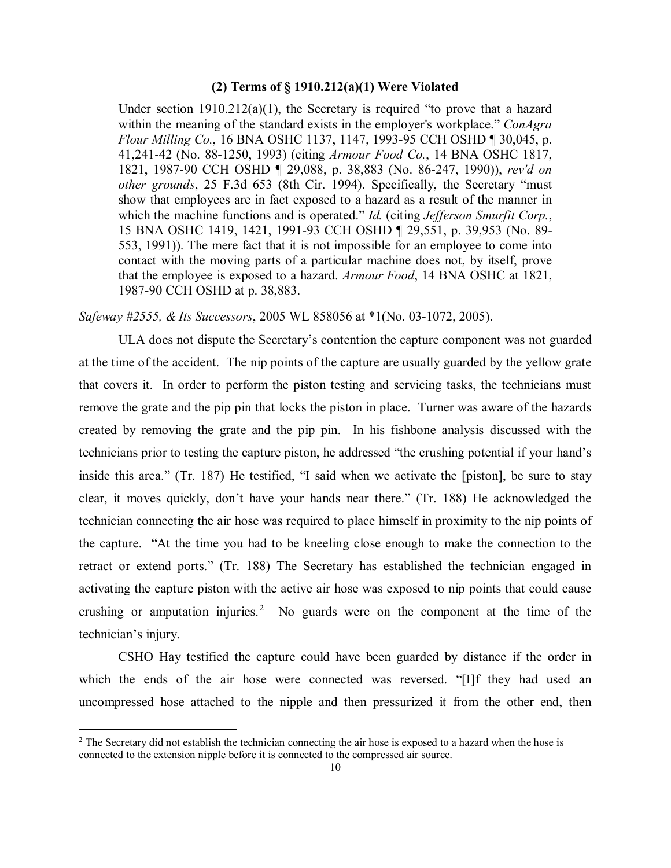# **(2) Terms of § 1910.212(a)(1) Were Violated**

Under section  $1910.212(a)(1)$ , the Secretary is required "to prove that a hazard within the meaning of the standard exists in the employer's workplace." *ConAgra Flour Milling Co.*, 16 BNA OSHC 1137, 1147, 1993-95 CCH OSHD ¶ 30,045, p. 41,241-42 (No. 88-1250, 1993) (citing *Armour Food Co.*, 14 BNA OSHC 1817, 1821, 1987-90 CCH OSHD ¶ 29,088, p. 38,883 (No. 86-247, 1990)), *rev'd on other grounds*, 25 F.3d 653 (8th Cir. 1994). Specifically, the Secretary "must show that employees are in fact exposed to a hazard as a result of the manner in which the machine functions and is operated." *Id.* (citing *Jefferson Smurfit Corp.*, 15 BNA OSHC 1419, 1421, 1991-93 CCH OSHD ¶ 29,551, p. 39,953 (No. 89- 553, 1991)). The mere fact that it is not impossible for an employee to come into contact with the moving parts of a particular machine does not, by itself, prove that the employee is exposed to a hazard. *Armour Food*, 14 BNA OSHC at 1821, 1987-90 CCH OSHD at p. 38,883.

*Safeway #2555, & Its Successors*, 2005 WL 858056 at \*1(No. 03-1072, 2005).

ULA does not dispute the Secretary's contention the capture component was not guarded at the time of the accident. The nip points of the capture are usually guarded by the yellow grate that covers it. In order to perform the piston testing and servicing tasks, the technicians must remove the grate and the pip pin that locks the piston in place. Turner was aware of the hazards created by removing the grate and the pip pin. In his fishbone analysis discussed with the technicians prior to testing the capture piston, he addressed "the crushing potential if your hand's inside this area." (Tr. 187) He testified, "I said when we activate the [piston], be sure to stay clear, it moves quickly, don't have your hands near there." (Tr. 188) He acknowledged the technician connecting the air hose was required to place himself in proximity to the nip points of the capture. "At the time you had to be kneeling close enough to make the connection to the retract or extend ports." (Tr. 188) The Secretary has established the technician engaged in activating the capture piston with the active air hose was exposed to nip points that could cause crushing or amputation injuries.<sup>[2](#page-9-0)</sup> No guards were on the component at the time of the technician's injury.

CSHO Hay testified the capture could have been guarded by distance if the order in which the ends of the air hose were connected was reversed. "[I]f they had used an uncompressed hose attached to the nipple and then pressurized it from the other end, then

 $\overline{a}$ 

<span id="page-9-0"></span> $2$  The Secretary did not establish the technician connecting the air hose is exposed to a hazard when the hose is connected to the extension nipple before it is connected to the compressed air source.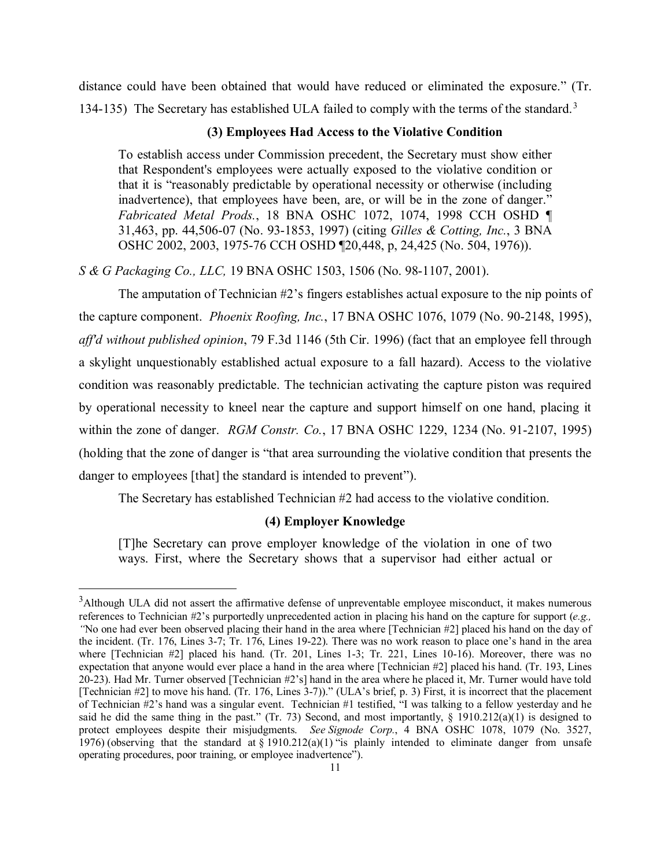distance could have been obtained that would have reduced or eliminated the exposure." (Tr. 1[3](#page-10-0)4-135) The Secretary has established ULA failed to comply with the terms of the standard.<sup>3</sup>

### **(3) Employees Had Access to the Violative Condition**

To establish access under Commission precedent, the Secretary must show either that Respondent's employees were actually exposed to the violative condition or that it is "reasonably predictable by operational necessity or otherwise (including inadvertence), that employees have been, are, or will be in the zone of danger." *Fabricated Metal Prods.*, 18 BNA OSHC 1072, 1074, 1998 CCH OSHD ¶ 31,463, pp. 44,506-07 (No. 93-1853, 1997) (citing *Gilles & Cotting, Inc.*, 3 BNA OSHC 2002, 2003, 1975-76 CCH OSHD ¶20,448, p, 24,425 (No. 504, 1976)).

*S & G Packaging Co., LLC,* 19 BNA OSHC 1503, 1506 (No. 98-1107, 2001).

The amputation of Technician #2's fingers establishes actual exposure to the nip points of the capture component. *Phoenix Roofing, Inc.*, 17 BNA OSHC 1076, 1079 (No. 90-2148, 1995), *aff'd without published opinion*, 79 F.3d 1146 (5th Cir. 1996) (fact that an employee fell through a skylight unquestionably established actual exposure to a fall hazard). Access to the violative condition was reasonably predictable. The technician activating the capture piston was required by operational necessity to kneel near the capture and support himself on one hand, placing it within the zone of danger. *RGM Constr. Co.*, 17 BNA OSHC 1229, 1234 (No. 91-2107, 1995) (holding that the zone of danger is "that area surrounding the violative condition that presents the danger to employees [that] the standard is intended to prevent").

The Secretary has established Technician #2 had access to the violative condition.

## **(4) Employer Knowledge**

[T]he Secretary can prove employer knowledge of the violation in one of two ways. First, where the Secretary shows that a supervisor had either actual or

 $\overline{a}$ 

<span id="page-10-0"></span><sup>&</sup>lt;sup>3</sup>Although ULA did not assert the affirmative defense of unpreventable employee misconduct, it makes numerous references to Technician #2's purportedly unprecedented action in placing his hand on the capture for support (*e.g., "*No one had ever been observed placing their hand in the area where [Technician #2] placed his hand on the day of the incident. (Tr. 176, Lines 3-7; Tr. 176, Lines 19-22). There was no work reason to place one's hand in the area where [Technician #2] placed his hand. (Tr. 201, Lines 1-3; Tr. 221, Lines 10-16). Moreover, there was no expectation that anyone would ever place a hand in the area where [Technician #2] placed his hand. (Tr. 193, Lines 20-23). Had Mr. Turner observed [Technician #2's] hand in the area where he placed it, Mr. Turner would have told [Technician #2] to move his hand. (Tr. 176, Lines 3-7))." (ULA's brief, p. 3) First, it is incorrect that the placement of Technician #2's hand was a singular event. Technician #1 testified, "I was talking to a fellow yesterday and he said he did the same thing in the past." (Tr. 73) Second, and most importantly,  $\S$  1910.212(a)(1) is designed to protect employees despite their misjudgments. *See Signode Corp.*, 4 BNA OSHC 1078, 1079 (No. 3527, 1976) (observing that the standard at  $\S$  1910.212(a)(1) "is plainly intended to eliminate danger from unsafe operating procedures, poor training, or employee inadvertence").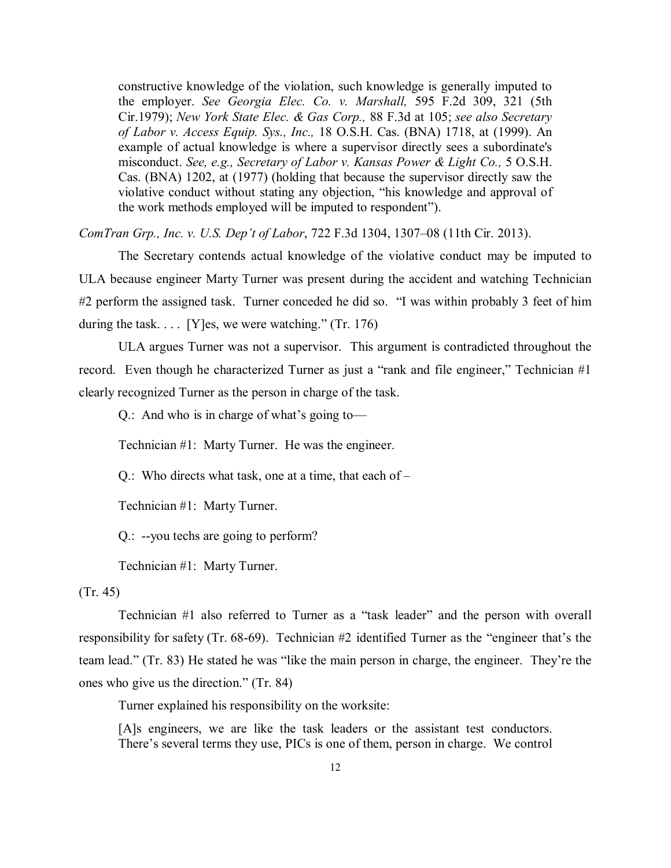constructive knowledge of the violation, such knowledge is generally imputed to the employer. *See Georgia Elec. Co. v. Marshall,* 595 F.2d 309, 321 (5th Cir.1979); *New York State Elec. & Gas Corp.,* 88 F.3d at 105; *see also Secretary of Labor v. Access Equip. Sys., Inc.,* 18 O.S.H. Cas. (BNA) 1718, at (1999). An example of actual knowledge is where a supervisor directly sees a subordinate's misconduct. *See, e.g., Secretary of Labor v. Kansas Power & Light Co.,* 5 O.S.H. Cas. (BNA) 1202, at (1977) (holding that because the supervisor directly saw the violative conduct without stating any objection, "his knowledge and approval of the work methods employed will be imputed to respondent").

*ComTran Grp., Inc. v. U.S. Dep't of Labor*, 722 F.3d 1304, 1307–08 (11th Cir. 2013).

The Secretary contends actual knowledge of the violative conduct may be imputed to ULA because engineer Marty Turner was present during the accident and watching Technician #2 perform the assigned task. Turner conceded he did so. "I was within probably 3 feet of him during the task.  $\ldots$  [Y]es, we were watching." (Tr. 176)

ULA argues Turner was not a supervisor. This argument is contradicted throughout the record. Even though he characterized Turner as just a "rank and file engineer," Technician #1 clearly recognized Turner as the person in charge of the task.

Q.: And who is in charge of what's going to—

Technician #1: Marty Turner. He was the engineer.

Q.: Who directs what task, one at a time, that each of –

Technician #1: Marty Turner.

Q.: --you techs are going to perform?

Technician #1: Marty Turner.

## (Tr. 45)

Technician #1 also referred to Turner as a "task leader" and the person with overall responsibility for safety (Tr. 68-69). Technician #2 identified Turner as the "engineer that's the team lead." (Tr. 83) He stated he was "like the main person in charge, the engineer. They're the ones who give us the direction." (Tr. 84)

Turner explained his responsibility on the worksite:

[A]s engineers, we are like the task leaders or the assistant test conductors. There's several terms they use, PICs is one of them, person in charge. We control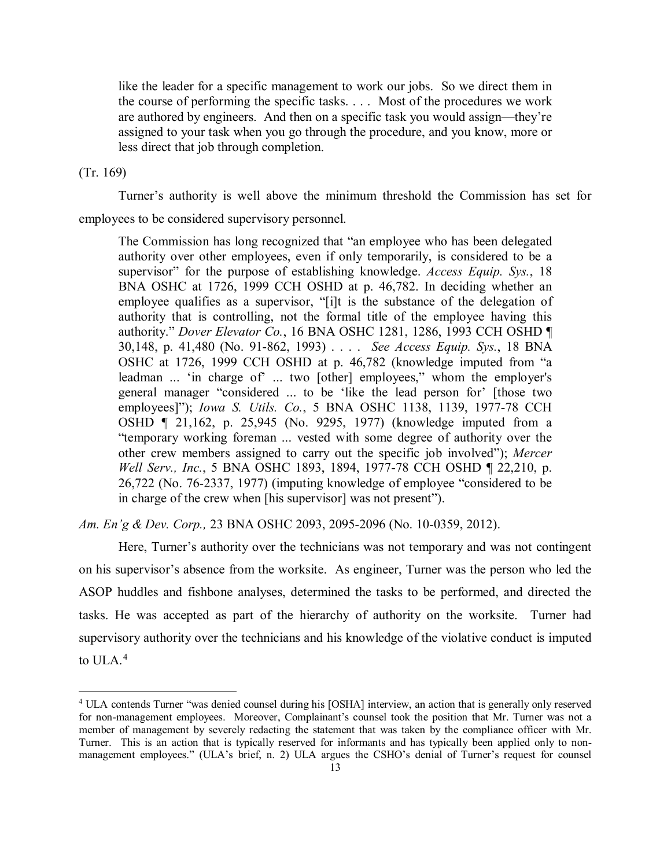like the leader for a specific management to work our jobs. So we direct them in the course of performing the specific tasks. . . . Most of the procedures we work are authored by engineers. And then on a specific task you would assign—they're assigned to your task when you go through the procedure, and you know, more or less direct that job through completion.

### (Tr. 169)

 $\overline{a}$ 

Turner's authority is well above the minimum threshold the Commission has set for

employees to be considered supervisory personnel.

The Commission has long recognized that "an employee who has been delegated authority over other employees, even if only temporarily, is considered to be a supervisor" for the purpose of establishing knowledge. *Access Equip. Sys.*, 18 BNA OSHC at 1726, 1999 CCH OSHD at p. 46,782. In deciding whether an employee qualifies as a supervisor, "[i]t is the substance of the delegation of authority that is controlling, not the formal title of the employee having this authority." *Dover Elevator Co.*, 16 BNA OSHC 1281, 1286, 1993 CCH OSHD ¶ 30,148, p. 41,480 (No. 91-862, 1993) . . . . *See Access Equip. Sys.*, 18 BNA OSHC at 1726, 1999 CCH OSHD at p. 46,782 (knowledge imputed from "a leadman ... 'in charge of' ... two [other] employees," whom the employer's general manager "considered ... to be 'like the lead person for' [those two employees]"); *Iowa S. Utils. Co.*, 5 BNA OSHC 1138, 1139, 1977-78 CCH OSHD ¶ 21,162, p. 25,945 (No. 9295, 1977) (knowledge imputed from a "temporary working foreman ... vested with some degree of authority over the other crew members assigned to carry out the specific job involved"); *Mercer Well Serv., Inc.*, 5 BNA OSHC 1893, 1894, 1977-78 CCH OSHD ¶ 22,210, p. 26,722 (No. 76-2337, 1977) (imputing knowledge of employee "considered to be in charge of the crew when [his supervisor] was not present").

*Am. En'g & Dev. Corp.,* 23 BNA OSHC 2093, 2095-2096 (No. 10-0359, 2012).

Here, Turner's authority over the technicians was not temporary and was not contingent on his supervisor's absence from the worksite. As engineer, Turner was the person who led the ASOP huddles and fishbone analyses, determined the tasks to be performed, and directed the tasks. He was accepted as part of the hierarchy of authority on the worksite. Turner had supervisory authority over the technicians and his knowledge of the violative conduct is imputed to ULA.<sup>[4](#page-12-0)</sup>

<span id="page-12-0"></span><sup>4</sup> ULA contends Turner "was denied counsel during his [OSHA] interview, an action that is generally only reserved for non-management employees. Moreover, Complainant's counsel took the position that Mr. Turner was not a member of management by severely redacting the statement that was taken by the compliance officer with Mr. Turner. This is an action that is typically reserved for informants and has typically been applied only to nonmanagement employees." (ULA's brief, n. 2) ULA argues the CSHO's denial of Turner's request for counsel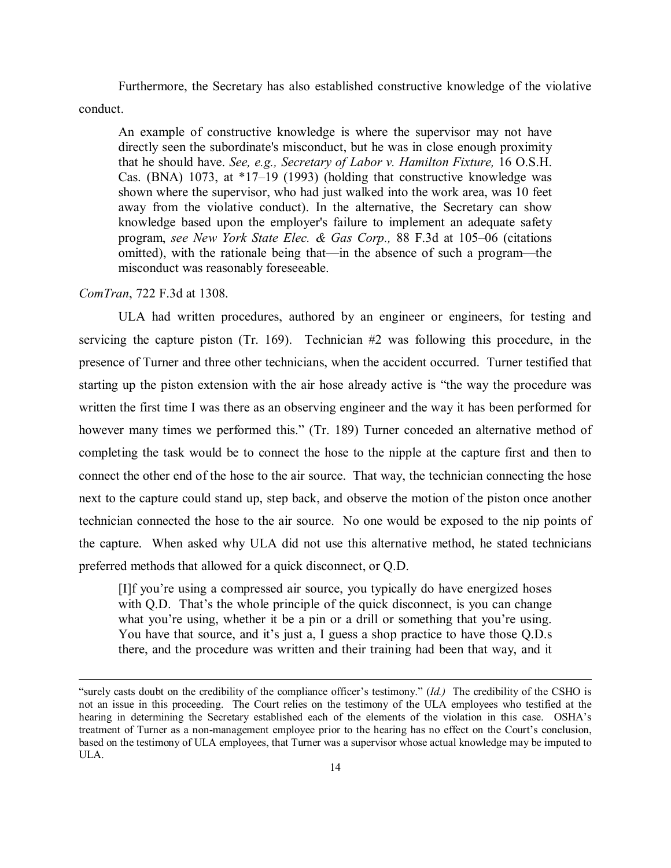Furthermore, the Secretary has also established constructive knowledge of the violative conduct.

 $\overline{a}$ 

An example of constructive knowledge is where the supervisor may not have directly seen the subordinate's misconduct, but he was in close enough proximity that he should have. *See, e.g., Secretary of Labor v. Hamilton Fixture,* 16 O.S.H. Cas. (BNA) 1073, at \*17–19 (1993) (holding that constructive knowledge was shown where the supervisor, who had just walked into the work area, was 10 feet away from the violative conduct). In the alternative, the Secretary can show knowledge based upon the employer's failure to implement an adequate safety program, *see New York State Elec. & Gas Corp.,* 88 F.3d at 105–06 (citations omitted), with the rationale being that—in the absence of such a program—the misconduct was reasonably foreseeable.

#### *ComTran*, 722 F.3d at 1308.

ULA had written procedures, authored by an engineer or engineers, for testing and servicing the capture piston (Tr. 169). Technician #2 was following this procedure, in the presence of Turner and three other technicians, when the accident occurred. Turner testified that starting up the piston extension with the air hose already active is "the way the procedure was written the first time I was there as an observing engineer and the way it has been performed for however many times we performed this." (Tr. 189) Turner conceded an alternative method of completing the task would be to connect the hose to the nipple at the capture first and then to connect the other end of the hose to the air source. That way, the technician connecting the hose next to the capture could stand up, step back, and observe the motion of the piston once another technician connected the hose to the air source. No one would be exposed to the nip points of the capture. When asked why ULA did not use this alternative method, he stated technicians preferred methods that allowed for a quick disconnect, or Q.D.

[I]f you're using a compressed air source, you typically do have energized hoses with Q.D. That's the whole principle of the quick disconnect, is you can change what you're using, whether it be a pin or a drill or something that you're using. You have that source, and it's just a, I guess a shop practice to have those Q.D.s there, and the procedure was written and their training had been that way, and it

<sup>&</sup>quot;surely casts doubt on the credibility of the compliance officer's testimony." (*Id.)* The credibility of the CSHO is not an issue in this proceeding. The Court relies on the testimony of the ULA employees who testified at the hearing in determining the Secretary established each of the elements of the violation in this case. OSHA's treatment of Turner as a non-management employee prior to the hearing has no effect on the Court's conclusion, based on the testimony of ULA employees, that Turner was a supervisor whose actual knowledge may be imputed to ULA.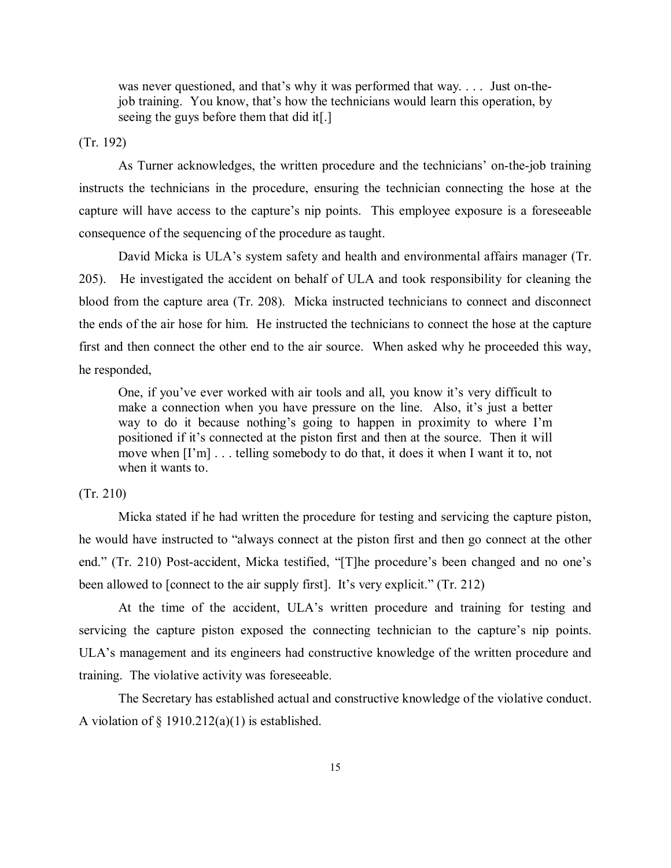was never questioned, and that's why it was performed that way. . . . Just on-thejob training. You know, that's how the technicians would learn this operation, by seeing the guys before them that did it[.]

(Tr. 192)

As Turner acknowledges, the written procedure and the technicians' on-the-job training instructs the technicians in the procedure, ensuring the technician connecting the hose at the capture will have access to the capture's nip points. This employee exposure is a foreseeable consequence of the sequencing of the procedure as taught.

David Micka is ULA's system safety and health and environmental affairs manager (Tr. 205). He investigated the accident on behalf of ULA and took responsibility for cleaning the blood from the capture area (Tr. 208). Micka instructed technicians to connect and disconnect the ends of the air hose for him. He instructed the technicians to connect the hose at the capture first and then connect the other end to the air source. When asked why he proceeded this way, he responded,

One, if you've ever worked with air tools and all, you know it's very difficult to make a connection when you have pressure on the line. Also, it's just a better way to do it because nothing's going to happen in proximity to where I'm positioned if it's connected at the piston first and then at the source. Then it will move when [I'm] . . . telling somebody to do that, it does it when I want it to, not when it wants to.

### (Tr. 210)

Micka stated if he had written the procedure for testing and servicing the capture piston, he would have instructed to "always connect at the piston first and then go connect at the other end." (Tr. 210) Post-accident, Micka testified, "[T]he procedure's been changed and no one's been allowed to [connect to the air supply first]. It's very explicit." (Tr. 212)

At the time of the accident, ULA's written procedure and training for testing and servicing the capture piston exposed the connecting technician to the capture's nip points. ULA's management and its engineers had constructive knowledge of the written procedure and training. The violative activity was foreseeable.

The Secretary has established actual and constructive knowledge of the violative conduct. A violation of  $\S$  1910.212(a)(1) is established.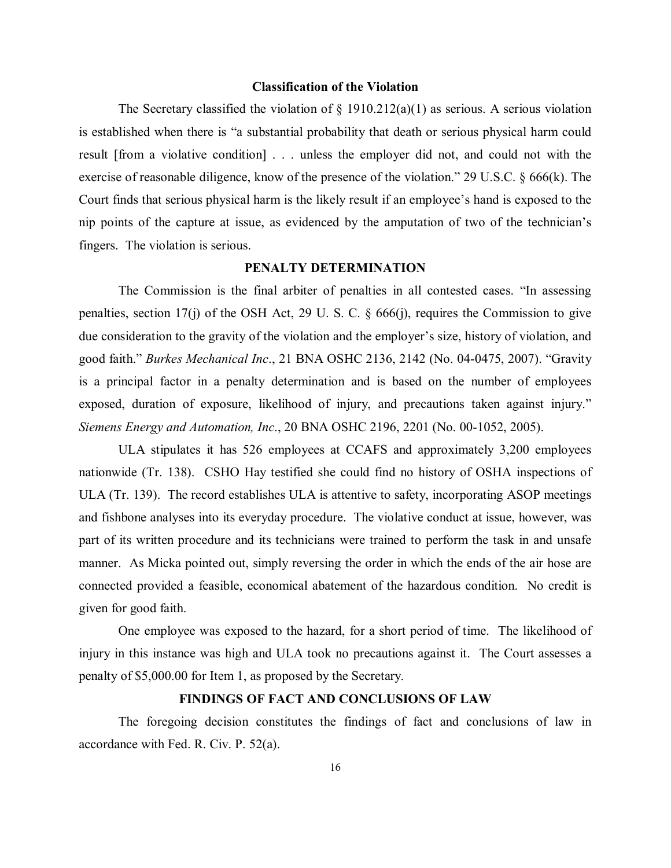#### **Classification of the Violation**

The Secretary classified the violation of  $\S$  1910.212(a)(1) as serious. A serious violation is established when there is "a substantial probability that death or serious physical harm could result [from a violative condition] . . . unless the employer did not, and could not with the exercise of reasonable diligence, know of the presence of the violation." 29 U.S.C. § 666(k). The Court finds that serious physical harm is the likely result if an employee's hand is exposed to the nip points of the capture at issue, as evidenced by the amputation of two of the technician's fingers. The violation is serious.

#### **PENALTY DETERMINATION**

The Commission is the final arbiter of penalties in all contested cases. "In assessing penalties, section 17(j) of the OSH Act, 29 U. S. C. § 666(j), requires the Commission to give due consideration to the gravity of the violation and the employer's size, history of violation, and good faith." *Burkes Mechanical Inc*., 21 BNA OSHC 2136, 2142 (No. 04-0475, 2007). "Gravity is a principal factor in a penalty determination and is based on the number of employees exposed, duration of exposure, likelihood of injury, and precautions taken against injury." *Siemens Energy and Automation, Inc*., 20 BNA OSHC 2196, 2201 (No. 00-1052, 2005).

ULA stipulates it has 526 employees at CCAFS and approximately 3,200 employees nationwide (Tr. 138). CSHO Hay testified she could find no history of OSHA inspections of ULA (Tr. 139). The record establishes ULA is attentive to safety, incorporating ASOP meetings and fishbone analyses into its everyday procedure. The violative conduct at issue, however, was part of its written procedure and its technicians were trained to perform the task in and unsafe manner. As Micka pointed out, simply reversing the order in which the ends of the air hose are connected provided a feasible, economical abatement of the hazardous condition. No credit is given for good faith.

One employee was exposed to the hazard, for a short period of time. The likelihood of injury in this instance was high and ULA took no precautions against it. The Court assesses a penalty of \$5,000.00 for Item 1, as proposed by the Secretary.

# **FINDINGS OF FACT AND CONCLUSIONS OF LAW**

The foregoing decision constitutes the findings of fact and conclusions of law in accordance with Fed. R. Civ. P. 52(a).